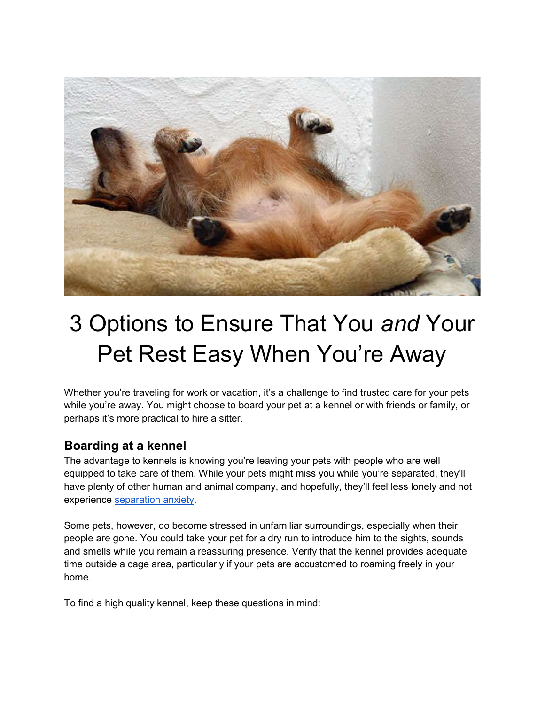

# 3 Options to Ensure That You and Your Pet Rest Easy When You're Away

Whether you're traveling for work or vacation, it's a challenge to find trusted care for your pets while you're away. You might choose to board your pet at a kennel or with friends or family, or perhaps it's more practical to hire a sitter.

### Boarding at a kennel

The advantage to kennels is knowing you're leaving your pets with people who are well equipped to take care of them. While your pets might miss you while you're separated, they'll have plenty of other human and animal company, and hopefully, they'll feel less lonely and not experience separation anxiety.

Some pets, however, do become stressed in unfamiliar surroundings, especially when their people are gone. You could take your pet for a dry run to introduce him to the sights, sounds and smells while you remain a reassuring presence. Verify that the kennel provides adequate time outside a cage area, particularly if your pets are accustomed to roaming freely in your home.

To find a high quality kennel, keep these questions in mind: